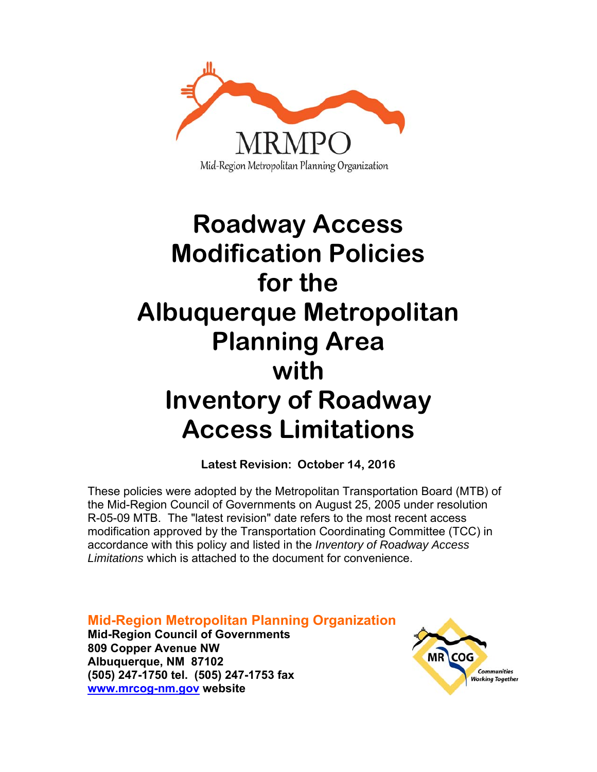

# **Roadway Access Modification Policies for the Albuquerque Metropolitan Planning Area with Inventory of Roadway Access Limitations**

**Latest Revision: October 14, 2016** 

These policies were adopted by the Metropolitan Transportation Board (MTB) of the Mid-Region Council of Governments on August 25, 2005 under resolution R-05-09 MTB. The "latest revision" date refers to the most recent access modification approved by the Transportation Coordinating Committee (TCC) in accordance with this policy and listed in the *Inventory of Roadway Access Limitations* which is attached to the document for convenience.

**Mid-Region Metropolitan Planning Organization Mid-Region Council of Governments 809 Copper Avenue NW Albuquerque, NM 87102 (505) 247-1750 tel. (505) 247-1753 fax www.mrcog-nm.gov website** 

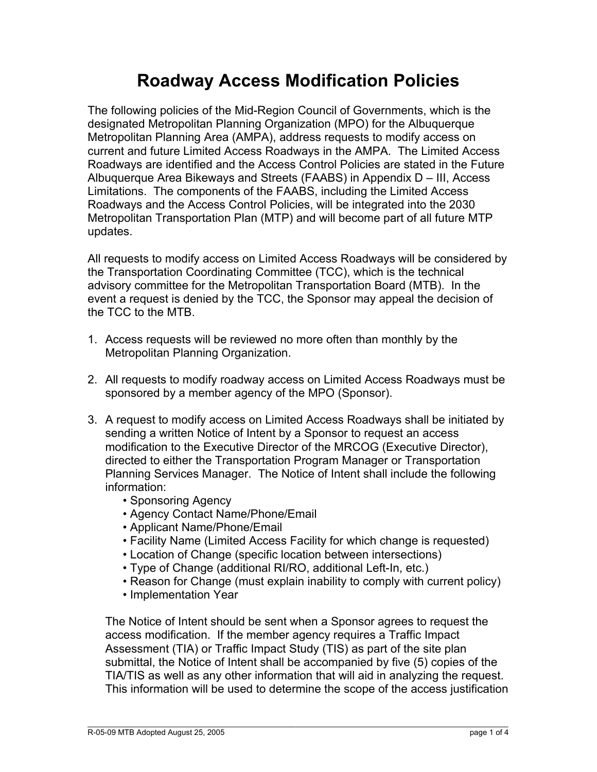# **Roadway Access Modification Policies**

The following policies of the Mid-Region Council of Governments, which is the designated Metropolitan Planning Organization (MPO) for the Albuquerque Metropolitan Planning Area (AMPA), address requests to modify access on current and future Limited Access Roadways in the AMPA. The Limited Access Roadways are identified and the Access Control Policies are stated in the Future Albuquerque Area Bikeways and Streets (FAABS) in Appendix D – III, Access Limitations. The components of the FAABS, including the Limited Access Roadways and the Access Control Policies, will be integrated into the 2030 Metropolitan Transportation Plan (MTP) and will become part of all future MTP updates.

All requests to modify access on Limited Access Roadways will be considered by the Transportation Coordinating Committee (TCC), which is the technical advisory committee for the Metropolitan Transportation Board (MTB). In the event a request is denied by the TCC, the Sponsor may appeal the decision of the TCC to the MTB.

- 1. Access requests will be reviewed no more often than monthly by the Metropolitan Planning Organization.
- 2. All requests to modify roadway access on Limited Access Roadways must be sponsored by a member agency of the MPO (Sponsor).
- 3. A request to modify access on Limited Access Roadways shall be initiated by sending a written Notice of Intent by a Sponsor to request an access modification to the Executive Director of the MRCOG (Executive Director), directed to either the Transportation Program Manager or Transportation Planning Services Manager. The Notice of Intent shall include the following information:
	- Sponsoring Agency
	- Agency Contact Name/Phone/Email
	- Applicant Name/Phone/Email
	- Facility Name (Limited Access Facility for which change is requested)
	- Location of Change (specific location between intersections)
	- Type of Change (additional RI/RO, additional Left-In, etc.)
	- Reason for Change (must explain inability to comply with current policy)
	- Implementation Year

 The Notice of Intent should be sent when a Sponsor agrees to request the access modification. If the member agency requires a Traffic Impact Assessment (TIA) or Traffic Impact Study (TIS) as part of the site plan submittal, the Notice of Intent shall be accompanied by five (5) copies of the TIA/TIS as well as any other information that will aid in analyzing the request. This information will be used to determine the scope of the access justification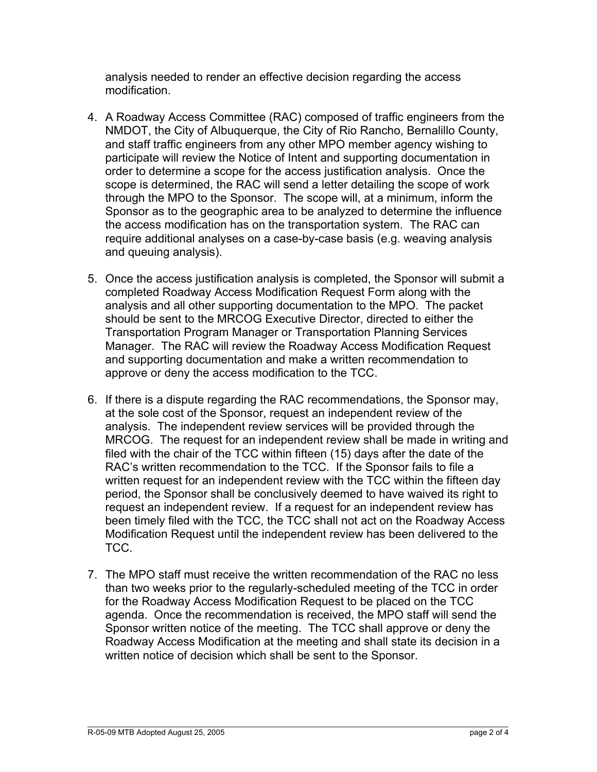analysis needed to render an effective decision regarding the access modification.

- 4. A Roadway Access Committee (RAC) composed of traffic engineers from the NMDOT, the City of Albuquerque, the City of Rio Rancho, Bernalillo County, and staff traffic engineers from any other MPO member agency wishing to participate will review the Notice of Intent and supporting documentation in order to determine a scope for the access justification analysis. Once the scope is determined, the RAC will send a letter detailing the scope of work through the MPO to the Sponsor. The scope will, at a minimum, inform the Sponsor as to the geographic area to be analyzed to determine the influence the access modification has on the transportation system. The RAC can require additional analyses on a case-by-case basis (e.g. weaving analysis and queuing analysis).
- 5. Once the access justification analysis is completed, the Sponsor will submit a completed Roadway Access Modification Request Form along with the analysis and all other supporting documentation to the MPO. The packet should be sent to the MRCOG Executive Director, directed to either the Transportation Program Manager or Transportation Planning Services Manager. The RAC will review the Roadway Access Modification Request and supporting documentation and make a written recommendation to approve or deny the access modification to the TCC.
- 6. If there is a dispute regarding the RAC recommendations, the Sponsor may, at the sole cost of the Sponsor, request an independent review of the analysis. The independent review services will be provided through the MRCOG. The request for an independent review shall be made in writing and filed with the chair of the TCC within fifteen (15) days after the date of the RAC's written recommendation to the TCC. If the Sponsor fails to file a written request for an independent review with the TCC within the fifteen day period, the Sponsor shall be conclusively deemed to have waived its right to request an independent review. If a request for an independent review has been timely filed with the TCC, the TCC shall not act on the Roadway Access Modification Request until the independent review has been delivered to the TCC.
- 7. The MPO staff must receive the written recommendation of the RAC no less than two weeks prior to the regularly-scheduled meeting of the TCC in order for the Roadway Access Modification Request to be placed on the TCC agenda. Once the recommendation is received, the MPO staff will send the Sponsor written notice of the meeting. The TCC shall approve or deny the Roadway Access Modification at the meeting and shall state its decision in a written notice of decision which shall be sent to the Sponsor.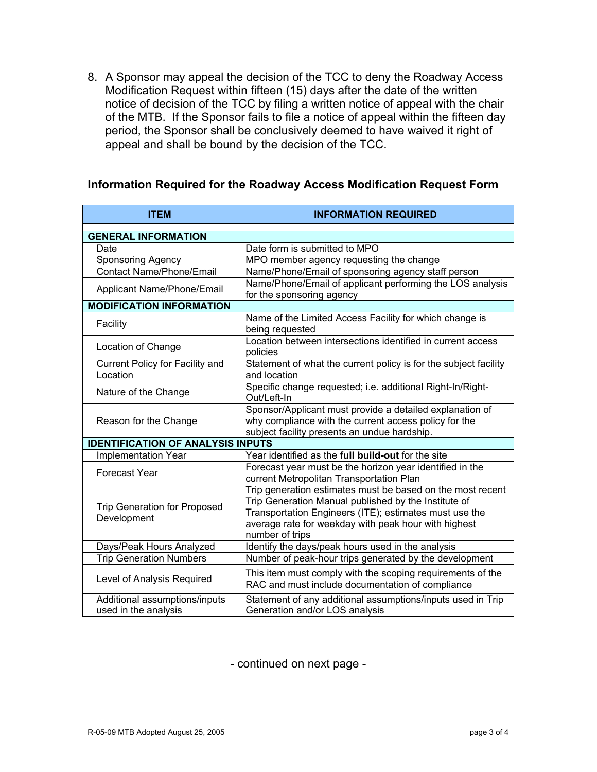8. A Sponsor may appeal the decision of the TCC to deny the Roadway Access Modification Request within fifteen (15) days after the date of the written notice of decision of the TCC by filing a written notice of appeal with the chair of the MTB. If the Sponsor fails to file a notice of appeal within the fifteen day period, the Sponsor shall be conclusively deemed to have waived it right of appeal and shall be bound by the decision of the TCC.

#### **Information Required for the Roadway Access Modification Request Form**

| <b>ITEM</b>                                           | <b>INFORMATION REQUIRED</b>                                                                                                                                                                                                                             |  |  |
|-------------------------------------------------------|---------------------------------------------------------------------------------------------------------------------------------------------------------------------------------------------------------------------------------------------------------|--|--|
|                                                       |                                                                                                                                                                                                                                                         |  |  |
| <b>GENERAL INFORMATION</b><br>Date                    | Date form is submitted to MPO                                                                                                                                                                                                                           |  |  |
|                                                       |                                                                                                                                                                                                                                                         |  |  |
| Sponsoring Agency                                     | MPO member agency requesting the change                                                                                                                                                                                                                 |  |  |
| <b>Contact Name/Phone/Email</b>                       | Name/Phone/Email of sponsoring agency staff person                                                                                                                                                                                                      |  |  |
| Applicant Name/Phone/Email                            | Name/Phone/Email of applicant performing the LOS analysis<br>for the sponsoring agency                                                                                                                                                                  |  |  |
| <b>MODIFICATION INFORMATION</b>                       |                                                                                                                                                                                                                                                         |  |  |
| Facility                                              | Name of the Limited Access Facility for which change is<br>being requested                                                                                                                                                                              |  |  |
| Location of Change                                    | Location between intersections identified in current access<br>policies                                                                                                                                                                                 |  |  |
| Current Policy for Facility and<br>Location           | Statement of what the current policy is for the subject facility<br>and location                                                                                                                                                                        |  |  |
| Nature of the Change                                  | Specific change requested; i.e. additional Right-In/Right-<br>Out/Left-In                                                                                                                                                                               |  |  |
| Reason for the Change                                 | Sponsor/Applicant must provide a detailed explanation of<br>why compliance with the current access policy for the<br>subject facility presents an undue hardship.                                                                                       |  |  |
| <b>IDENTIFICATION OF ANALYSIS INPUTS</b>              |                                                                                                                                                                                                                                                         |  |  |
| <b>Implementation Year</b>                            | Year identified as the full build-out for the site                                                                                                                                                                                                      |  |  |
| <b>Forecast Year</b>                                  | Forecast year must be the horizon year identified in the<br>current Metropolitan Transportation Plan                                                                                                                                                    |  |  |
| Trip Generation for Proposed<br>Development           | Trip generation estimates must be based on the most recent<br>Trip Generation Manual published by the Institute of<br>Transportation Engineers (ITE); estimates must use the<br>average rate for weekday with peak hour with highest<br>number of trips |  |  |
| Days/Peak Hours Analyzed                              | Identify the days/peak hours used in the analysis                                                                                                                                                                                                       |  |  |
| <b>Trip Generation Numbers</b>                        | Number of peak-hour trips generated by the development                                                                                                                                                                                                  |  |  |
| Level of Analysis Required                            | This item must comply with the scoping requirements of the<br>RAC and must include documentation of compliance                                                                                                                                          |  |  |
| Additional assumptions/inputs<br>used in the analysis | Statement of any additional assumptions/inputs used in Trip<br>Generation and/or LOS analysis                                                                                                                                                           |  |  |

- continued on next page -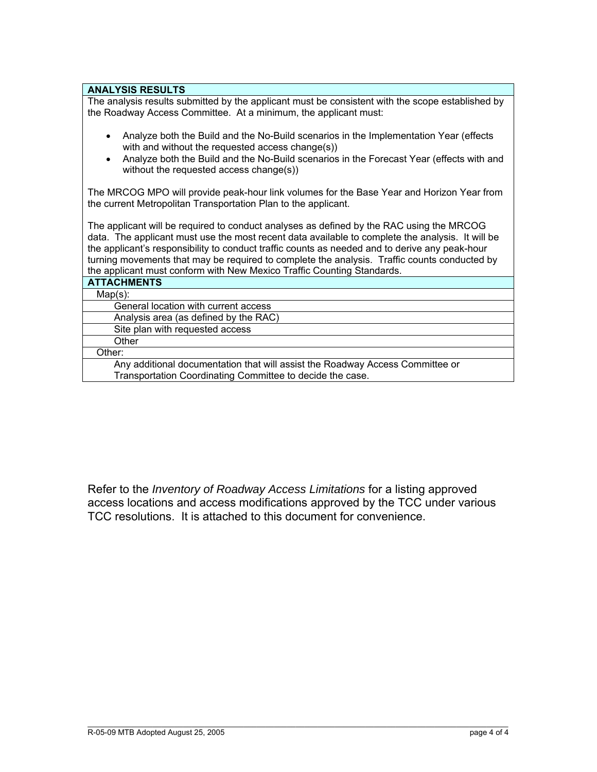#### **ANALYSIS RESULTS**

The analysis results submitted by the applicant must be consistent with the scope established by the Roadway Access Committee. At a minimum, the applicant must:

- Analyze both the Build and the No-Build scenarios in the Implementation Year (effects with and without the requested access change(s))
- Analyze both the Build and the No-Build scenarios in the Forecast Year (effects with and without the requested access change(s))

The MRCOG MPO will provide peak-hour link volumes for the Base Year and Horizon Year from the current Metropolitan Transportation Plan to the applicant.

The applicant will be required to conduct analyses as defined by the RAC using the MRCOG data. The applicant must use the most recent data available to complete the analysis. It will be the applicant's responsibility to conduct traffic counts as needed and to derive any peak-hour turning movements that may be required to complete the analysis. Traffic counts conducted by the applicant must conform with New Mexico Traffic Counting Standards.

Refer to the *Inventory of Roadway Access Limitations* for a listing approved access locations and access modifications approved by the TCC under various TCC resolutions. It is attached to this document for convenience.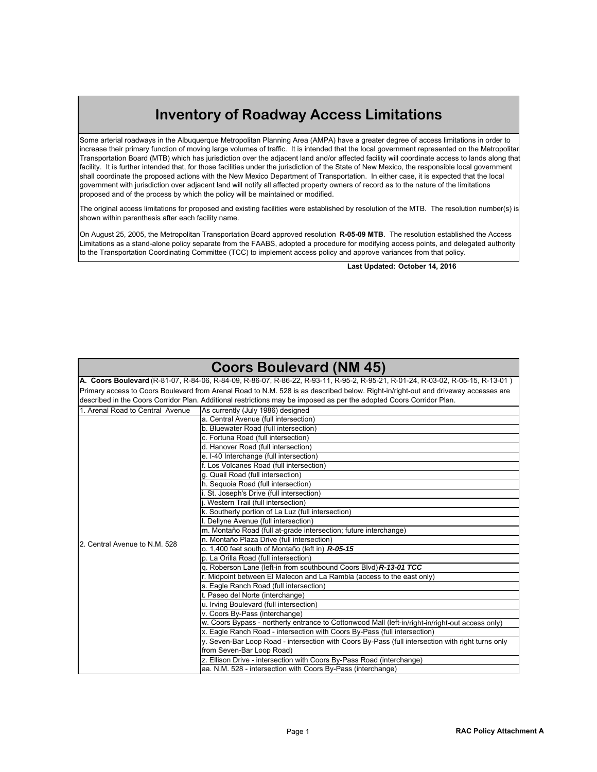## **Inventory of Roadway Access Limitations**

Some arterial roadways in the Albuquerque Metropolitan Planning Area (AMPA) have a greater degree of access limitations in order to increase their primary function of moving large volumes of traffic. It is intended that the local government represented on the Metropolita Transportation Board (MTB) which has jurisdiction over the adjacent land and/or affected facility will coordinate access to lands along that facility. It is further intended that, for those facilities under the jurisdiction of the State of New Mexico, the responsible local government shall coordinate the proposed actions with the New Mexico Department of Transportation. In either case, it is expected that the local government with jurisdiction over adjacent land will notify all affected property owners of record as to the nature of the limitations proposed and of the process by which the policy will be maintained or modified.

The original access limitations for proposed and existing facilities were established by resolution of the MTB. The resolution number(s) is shown within parenthesis after each facility name.

On August 25, 2005, the Metropolitan Transportation Board approved resolution **R-05-09 MTB**. The resolution established the Access Limitations as a stand-alone policy separate from the FAABS, adopted a procedure for modifying access points, and delegated authority to the Transportation Coordinating Committee (TCC) to implement access policy and approve variances from that policy.

**Last Updated: October 14, 2016**

#### **Coors Boulevard (NM 45)**

| A. Coors Boulevard (R-81-07, R-84-06, R-84-09, R-86-07, R-86-22, R-93-11, R-95-2, R-95-21, R-01-24, R-03-02, R-05-15, R-13-01)     |                                                                                                   |  |  |
|------------------------------------------------------------------------------------------------------------------------------------|---------------------------------------------------------------------------------------------------|--|--|
| Primary access to Coors Boulevard from Arenal Road to N.M. 528 is as described below. Right-in/right-out and driveway accesses are |                                                                                                   |  |  |
| described in the Coors Corridor Plan. Additional restrictions may be imposed as per the adopted Coors Corridor Plan.               |                                                                                                   |  |  |
| 1. Arenal Road to Central Avenue                                                                                                   | As currently (July 1986) designed                                                                 |  |  |
|                                                                                                                                    | a. Central Avenue (full intersection)                                                             |  |  |
|                                                                                                                                    | b. Bluewater Road (full intersection)                                                             |  |  |
|                                                                                                                                    | c. Fortuna Road (full intersection)                                                               |  |  |
|                                                                                                                                    | d. Hanover Road (full intersection)                                                               |  |  |
|                                                                                                                                    | e. I-40 Interchange (full intersection)                                                           |  |  |
|                                                                                                                                    | f. Los Volcanes Road (full intersection)                                                          |  |  |
|                                                                                                                                    | q. Quail Road (full intersection)                                                                 |  |  |
|                                                                                                                                    | h. Sequoia Road (full intersection)                                                               |  |  |
|                                                                                                                                    | St. Joseph's Drive (full intersection)                                                            |  |  |
|                                                                                                                                    | Western Trail (full intersection)                                                                 |  |  |
|                                                                                                                                    | k. Southerly portion of La Luz (full intersection)                                                |  |  |
|                                                                                                                                    | I. Dellyne Avenue (full intersection)                                                             |  |  |
|                                                                                                                                    | m. Montaño Road (full at-grade intersection; future interchange)                                  |  |  |
| 2. Central Avenue to N.M. 528                                                                                                      | n. Montaño Plaza Drive (full intersection)                                                        |  |  |
|                                                                                                                                    | o. 1,400 feet south of Montaño (left in) R-05-15                                                  |  |  |
|                                                                                                                                    | p. La Orilla Road (full intersection)                                                             |  |  |
|                                                                                                                                    | q. Roberson Lane (left-in from southbound Coors Blvd) R-13-01 TCC                                 |  |  |
|                                                                                                                                    | r. Midpoint between El Malecon and La Rambla (access to the east only)                            |  |  |
|                                                                                                                                    | s. Eagle Ranch Road (full intersection)                                                           |  |  |
|                                                                                                                                    | t. Paseo del Norte (interchange)                                                                  |  |  |
|                                                                                                                                    | u. Irving Boulevard (full intersection)                                                           |  |  |
|                                                                                                                                    | v. Coors By-Pass (interchange)                                                                    |  |  |
|                                                                                                                                    | w. Coors Bypass - northerly entrance to Cottonwood Mall (left-in/right-in/right-out access only)  |  |  |
|                                                                                                                                    | x. Eagle Ranch Road - intersection with Coors By-Pass (full intersection)                         |  |  |
|                                                                                                                                    | y. Seven-Bar Loop Road - intersection with Coors By-Pass (full intersection with right turns only |  |  |
|                                                                                                                                    | from Seven-Bar Loop Road)                                                                         |  |  |
|                                                                                                                                    | z. Ellison Drive - intersection with Coors By-Pass Road (interchange)                             |  |  |
|                                                                                                                                    | aa. N.M. 528 - intersection with Coors By-Pass (interchange)                                      |  |  |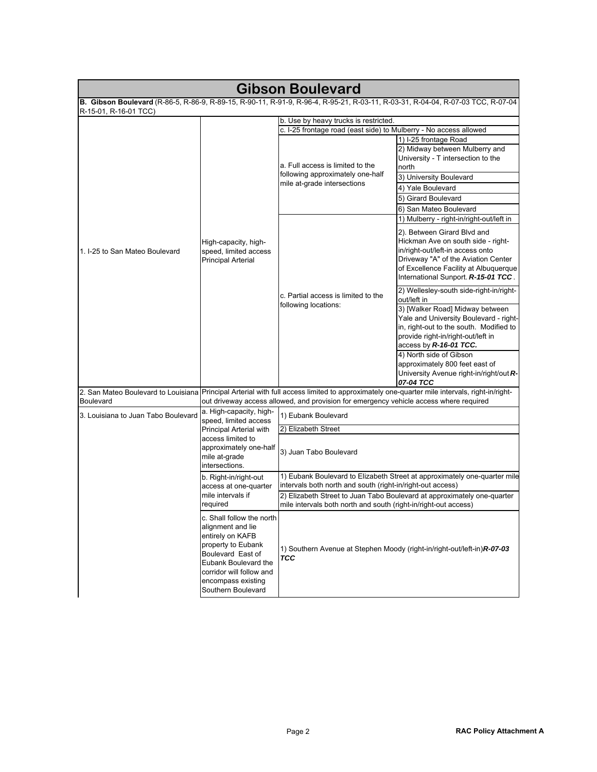| <b>Gibson Boulevard</b>                                                                                                                      |                                                                                                                                                                                                               |                                                                                                                                            |                                                                                                                                                                                                                                                                                                             |
|----------------------------------------------------------------------------------------------------------------------------------------------|---------------------------------------------------------------------------------------------------------------------------------------------------------------------------------------------------------------|--------------------------------------------------------------------------------------------------------------------------------------------|-------------------------------------------------------------------------------------------------------------------------------------------------------------------------------------------------------------------------------------------------------------------------------------------------------------|
| B. Gibson Boulevard (R-86-5, R-86-9, R-89-15, R-90-11, R-91-9, R-96-4, R-95-21, R-03-11, R-03-31, R-04-04, R-07-03 TCC, R-07-04              |                                                                                                                                                                                                               |                                                                                                                                            |                                                                                                                                                                                                                                                                                                             |
| R-15-01, R-16-01 TCC)                                                                                                                        |                                                                                                                                                                                                               |                                                                                                                                            |                                                                                                                                                                                                                                                                                                             |
|                                                                                                                                              |                                                                                                                                                                                                               | b. Use by heavy trucks is restricted.<br>c. I-25 frontage road (east side) to Mulberry - No access allowed                                 |                                                                                                                                                                                                                                                                                                             |
|                                                                                                                                              |                                                                                                                                                                                                               |                                                                                                                                            | 1) I-25 frontage Road                                                                                                                                                                                                                                                                                       |
|                                                                                                                                              |                                                                                                                                                                                                               | a. Full access is limited to the<br>following approximately one-half<br>mile at-grade intersections                                        | 2) Midway between Mulberry and<br>University - T intersection to the<br>north                                                                                                                                                                                                                               |
|                                                                                                                                              |                                                                                                                                                                                                               |                                                                                                                                            | 3) University Boulevard                                                                                                                                                                                                                                                                                     |
|                                                                                                                                              |                                                                                                                                                                                                               |                                                                                                                                            | 4) Yale Boulevard                                                                                                                                                                                                                                                                                           |
|                                                                                                                                              |                                                                                                                                                                                                               |                                                                                                                                            | 5) Girard Boulevard                                                                                                                                                                                                                                                                                         |
|                                                                                                                                              |                                                                                                                                                                                                               |                                                                                                                                            | 6) San Mateo Boulevard                                                                                                                                                                                                                                                                                      |
| 1. I-25 to San Mateo Boulevard                                                                                                               | High-capacity, high-<br>speed, limited access<br>Principal Arterial                                                                                                                                           | c. Partial access is limited to the<br>following locations:                                                                                | 1) Mulberry - right-in/right-out/left in<br>2). Between Girard Blvd and<br>Hickman Ave on south side - right-<br>in/right-out/left-in access onto<br>Driveway "A" of the Aviation Center<br>of Excellence Facility at Albuquerque<br>International Sunport. R-15-01 TCC.                                    |
|                                                                                                                                              |                                                                                                                                                                                                               |                                                                                                                                            | 2) Wellesley-south side-right-in/right-<br>out/left in<br>3) [Walker Road] Midway between<br>Yale and University Boulevard - right-<br>in, right-out to the south. Modified to<br>provide right-in/right-out/left in<br>access by R-16-01 TCC.<br>4) North side of Gibson<br>approximately 800 feet east of |
| 2. San Mateo Boulevard to Louisiana Principal Arterial with full access limited to approximately one-quarter mile intervals, right-in/right- |                                                                                                                                                                                                               |                                                                                                                                            | University Avenue right-in/right/out R-<br>07-04 TCC                                                                                                                                                                                                                                                        |
| <b>Boulevard</b>                                                                                                                             | out driveway access allowed, and provision for emergency vehicle access where required<br>a. High-capacity, high-                                                                                             |                                                                                                                                            |                                                                                                                                                                                                                                                                                                             |
| 3. Louisiana to Juan Tabo Boulevard                                                                                                          | speed, limited access<br>Principal Arterial with<br>access limited to<br>approximately one-half<br>mile at-grade<br>intersections.                                                                            | 1) Eubank Boulevard                                                                                                                        |                                                                                                                                                                                                                                                                                                             |
|                                                                                                                                              |                                                                                                                                                                                                               | 2) Elizabeth Street                                                                                                                        |                                                                                                                                                                                                                                                                                                             |
|                                                                                                                                              |                                                                                                                                                                                                               | 3) Juan Tabo Boulevard                                                                                                                     |                                                                                                                                                                                                                                                                                                             |
|                                                                                                                                              | b. Right-in/right-out                                                                                                                                                                                         |                                                                                                                                            | 1) Eubank Boulevard to Elizabeth Street at approximately one-quarter mile                                                                                                                                                                                                                                   |
|                                                                                                                                              | access at one-quarter                                                                                                                                                                                         | intervals both north and south (right-in/right-out access)                                                                                 |                                                                                                                                                                                                                                                                                                             |
|                                                                                                                                              | mile intervals if<br>required                                                                                                                                                                                 | 2) Elizabeth Street to Juan Tabo Boulevard at approximately one-quarter<br>mile intervals both north and south (right-in/right-out access) |                                                                                                                                                                                                                                                                                                             |
|                                                                                                                                              | c. Shall follow the north<br>alignment and lie<br>entirely on KAFB<br>property to Eubank<br>Boulevard East of<br>Eubank Boulevard the<br>corridor will follow and<br>encompass existing<br>Southern Boulevard | <b>TCC</b>                                                                                                                                 | 1) Southern Avenue at Stephen Moody (right-in/right-out/left-in) R-07-03                                                                                                                                                                                                                                    |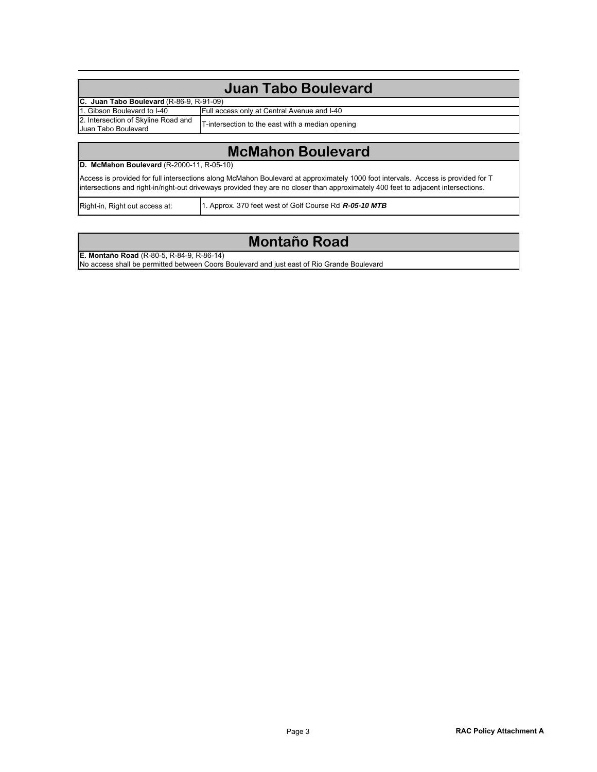| Juan Tabo Boulevard                                        |                                                  |  |  |
|------------------------------------------------------------|--------------------------------------------------|--|--|
| C. Juan Tabo Boulevard (R-86-9, R-91-09)                   |                                                  |  |  |
| 1. Gibson Boulevard to I-40                                | Full access only at Central Avenue and I-40      |  |  |
| 2. Intersection of Skyline Road and<br>Juan Tabo Boulevard | T-intersection to the east with a median opening |  |  |
|                                                            |                                                  |  |  |

## **McMahon Boulevard**

#### **D. McMahon Boulevard** (R-2000-11, R-05-10)

Access is provided for full intersections along McMahon Boulevard at approximately 1000 foot intervals. Access is provided for T intersections and right-in/right-out driveways provided they are no closer than approximately 400 feet to adjacent intersections.

Right-in, Right out access at:

1. Approx. 370 feet west of Golf Course Rd *R-05-10 MTB*

#### **Montaño Road**

**E. Montaño Road** (R-80-5, R-84-9, R-86-14)

No access shall be permitted between Coors Boulevard and just east of Rio Grande Boulevard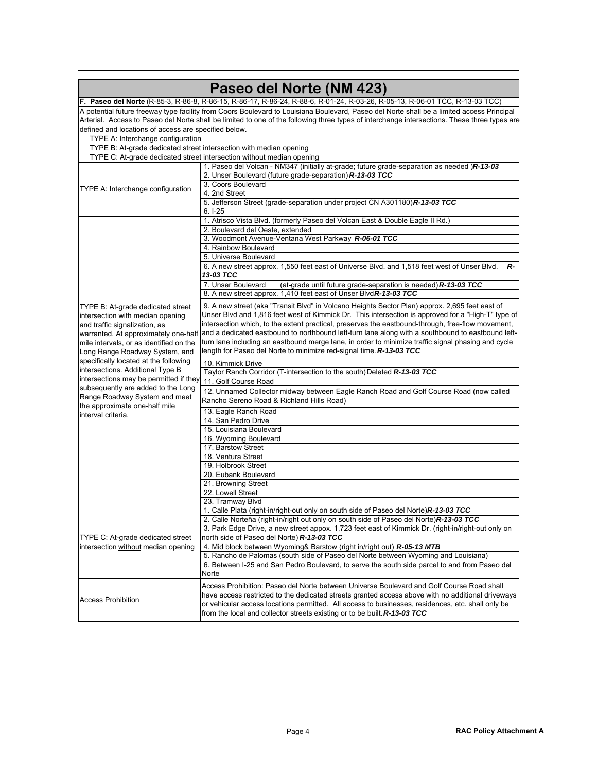|                                                                                                                             | Paseo del Norte (NM 423)                                                                                                                     |  |  |
|-----------------------------------------------------------------------------------------------------------------------------|----------------------------------------------------------------------------------------------------------------------------------------------|--|--|
| F. Paseo del Norte (R-85-3, R-86-8, R-86-15, R-86-17, R-86-24, R-88-6, R-01-24, R-03-26, R-05-13, R-06-01 TCC, R-13-03 TCC) |                                                                                                                                              |  |  |
|                                                                                                                             | A potential future freeway type facility from Coors Boulevard to Louisiana Boulevard, Paseo del Norte shall be a limited access Principal    |  |  |
|                                                                                                                             | Arterial. Access to Paseo del Norte shall be limited to one of the following three types of interchange intersections. These three types are |  |  |
| defined and locations of access are specified below.                                                                        |                                                                                                                                              |  |  |
| TYPE A: Interchange configuration                                                                                           |                                                                                                                                              |  |  |
| TYPE B: At-grade dedicated street intersection with median opening                                                          |                                                                                                                                              |  |  |
|                                                                                                                             | TYPE C: At-grade dedicated street intersection without median opening                                                                        |  |  |
|                                                                                                                             | 1. Paseo del Volcan - NM347 (initially at-grade; future grade-separation as needed )R-13-03                                                  |  |  |
|                                                                                                                             | 2. Unser Boulevard (future grade-separation) R-13-03 TCC                                                                                     |  |  |
| TYPE A: Interchange configuration                                                                                           | 3. Coors Boulevard                                                                                                                           |  |  |
|                                                                                                                             | 4. 2nd Street                                                                                                                                |  |  |
|                                                                                                                             | 5. Jefferson Street (grade-separation under project CN A301180) R-13-03 TCC                                                                  |  |  |
|                                                                                                                             | $6.1 - 25$                                                                                                                                   |  |  |
|                                                                                                                             | 1. Atrisco Vista Blvd. (formerly Paseo del Volcan East & Double Eagle II Rd.)                                                                |  |  |
|                                                                                                                             | 2. Boulevard del Oeste, extended                                                                                                             |  |  |
|                                                                                                                             | 3. Woodmont Avenue-Ventana West Parkway R-06-01 TCC                                                                                          |  |  |
|                                                                                                                             | 4. Rainbow Boulevard                                                                                                                         |  |  |
|                                                                                                                             | 5. Universe Boulevard                                                                                                                        |  |  |
|                                                                                                                             | 6. A new street approx. 1,550 feet east of Universe Blvd. and 1,518 feet west of Unser Blvd.<br>R-                                           |  |  |
|                                                                                                                             | 13-03 TCC                                                                                                                                    |  |  |
|                                                                                                                             | 7. Unser Boulevard<br>(at-grade until future grade-separation is needed) R-13-03 TCC                                                         |  |  |
|                                                                                                                             | 8. A new street approx. 1,410 feet east of Unser Blvd R-13-03 TCC                                                                            |  |  |
| TYPE B: At-grade dedicated street                                                                                           | 9. A new street (aka "Transit Blvd" in Volcano Heights Sector Plan) approx. 2,695 feet east of                                               |  |  |
| intersection with median opening                                                                                            | Unser Blvd and 1,816 feet west of Kimmick Dr. This intersection is approved for a "High-T" type of                                           |  |  |
| and traffic signalization, as                                                                                               | intersection which, to the extent practical, preserves the eastbound-through, free-flow movement,                                            |  |  |
| warranted. At approximately one-half                                                                                        | and a dedicated eastbound to northbound left-turn lane along with a southbound to eastbound left-                                            |  |  |
| mile intervals, or as identified on the                                                                                     | turn lane including an eastbound merge lane, in order to minimize traffic signal phasing and cycle                                           |  |  |
| Long Range Roadway System, and                                                                                              | length for Paseo del Norte to minimize red-signal time. R-13-03 TCC                                                                          |  |  |
| specifically located at the following                                                                                       | 10. Kimmick Drive                                                                                                                            |  |  |
| intersections. Additional Type B                                                                                            | Taylor Ranch Corridor (T-intersection to the south) Deleted R-13-03 TCC                                                                      |  |  |
| intersections may be permitted if they                                                                                      | 11. Golf Course Road                                                                                                                         |  |  |
| subsequently are added to the Long                                                                                          | 12. Unnamed Collector midway between Eagle Ranch Road and Golf Course Road (now called                                                       |  |  |
| Range Roadway System and meet                                                                                               | Rancho Sereno Road & Richland Hills Road)                                                                                                    |  |  |
| the approximate one-half mile                                                                                               | 13. Eagle Ranch Road                                                                                                                         |  |  |
| interval criteria.                                                                                                          | 14. San Pedro Drive                                                                                                                          |  |  |
|                                                                                                                             | 15. Louisiana Boulevard                                                                                                                      |  |  |
|                                                                                                                             | 16. Wyoming Boulevard                                                                                                                        |  |  |
|                                                                                                                             | 17. Barstow Street                                                                                                                           |  |  |
|                                                                                                                             | 18. Ventura Street                                                                                                                           |  |  |
|                                                                                                                             | 19. Holbrook Street                                                                                                                          |  |  |
|                                                                                                                             | 20. Eubank Boulevard                                                                                                                         |  |  |
|                                                                                                                             | 21. Browning Street                                                                                                                          |  |  |
|                                                                                                                             | 22. Lowell Street                                                                                                                            |  |  |
|                                                                                                                             | 23. Tramway Blvd                                                                                                                             |  |  |
| TYPE C: At-grade dedicated street<br>intersection without median opening                                                    | 1. Calle Plata (right-in/right-out only on south side of Paseo del Norte)R-13-03 TCC                                                         |  |  |
|                                                                                                                             | 2. Calle Norteña (right-in/right out only on south side of Paseo del Norte)R-13-03 TCC                                                       |  |  |
|                                                                                                                             | 3. Park Edge Drive, a new street appox. 1,723 feet east of Kimmick Dr. (right-in/right-out only on                                           |  |  |
|                                                                                                                             | north side of Paseo del Norte) R-13-03 TCC                                                                                                   |  |  |
|                                                                                                                             | 4. Mid block between Wyoming& Barstow (right in/right out) R-05-13 MTB                                                                       |  |  |
|                                                                                                                             | 5. Rancho de Palomas (south side of Paseo del Norte between Wyoming and Louisiana)                                                           |  |  |
|                                                                                                                             | 6. Between I-25 and San Pedro Boulevard, to serve the south side parcel to and from Paseo del<br>Norte                                       |  |  |
|                                                                                                                             | Access Prohibition: Paseo del Norte between Universe Boulevard and Golf Course Road shall                                                    |  |  |
|                                                                                                                             | have access restricted to the dedicated streets granted access above with no additional driveways                                            |  |  |
| <b>Access Prohibition</b>                                                                                                   | or vehicular access locations permitted. All access to businesses, residences, etc. shall only be                                            |  |  |
|                                                                                                                             | from the local and collector streets existing or to be built. <b>R-13-03 TCC</b>                                                             |  |  |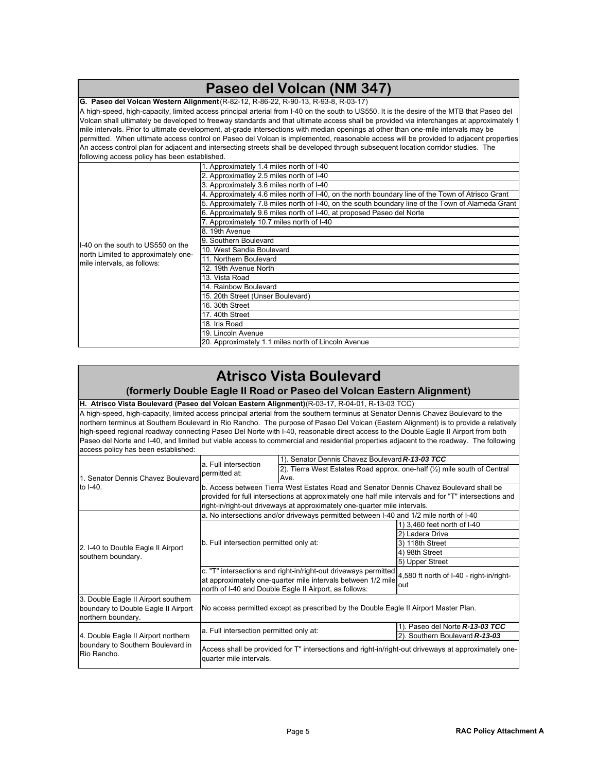| Paseo del Volcan (NM 347)                                                                                                                                                                                                                                                                                                                                                                                                    |                                                                                                                                       |  |  |
|------------------------------------------------------------------------------------------------------------------------------------------------------------------------------------------------------------------------------------------------------------------------------------------------------------------------------------------------------------------------------------------------------------------------------|---------------------------------------------------------------------------------------------------------------------------------------|--|--|
| G. Paseo del Volcan Western Alignment (R-82-12, R-86-22, R-90-13, R-93-8, R-03-17)                                                                                                                                                                                                                                                                                                                                           |                                                                                                                                       |  |  |
| A high-speed, high-capacity, limited access principal arterial from I-40 on the south to US550. It is the desire of the MTB that Paseo del<br>Volcan shall ultimately be developed to freeway standards and that ultimate access shall be provided via interchanges at approximately 1<br>mile intervals. Prior to ultimate development, at-grade intersections with median openings at other than one-mile intervals may be |                                                                                                                                       |  |  |
|                                                                                                                                                                                                                                                                                                                                                                                                                              | permitted. When ultimate access control on Paseo del Volcan is implemented, reasonable access will be provided to adjacent properties |  |  |
|                                                                                                                                                                                                                                                                                                                                                                                                                              | An access control plan for adjacent and intersecting streets shall be developed through subsequent location corridor studies. The     |  |  |
| following access policy has been established.                                                                                                                                                                                                                                                                                                                                                                                |                                                                                                                                       |  |  |
| 1. Approximately 1.4 miles north of I-40                                                                                                                                                                                                                                                                                                                                                                                     |                                                                                                                                       |  |  |
|                                                                                                                                                                                                                                                                                                                                                                                                                              | 2. Approximatley 2.5 miles north of I-40                                                                                              |  |  |
|                                                                                                                                                                                                                                                                                                                                                                                                                              | 3. Approximately 3.6 miles north of I-40                                                                                              |  |  |
|                                                                                                                                                                                                                                                                                                                                                                                                                              | 4. Approximately 4.6 miles north of I-40, on the north boundary line of the Town of Atrisco Grant                                     |  |  |
|                                                                                                                                                                                                                                                                                                                                                                                                                              | 5. Approximately 7.8 miles north of I-40, on the south boundary line of the Town of Alameda Grant                                     |  |  |
|                                                                                                                                                                                                                                                                                                                                                                                                                              | 6. Approximately 9.6 miles north of I-40, at proposed Paseo del Norte                                                                 |  |  |
|                                                                                                                                                                                                                                                                                                                                                                                                                              | 7. Approximately 10.7 miles north of I-40                                                                                             |  |  |
|                                                                                                                                                                                                                                                                                                                                                                                                                              | 8. 19th Avenue                                                                                                                        |  |  |
| II-40 on the south to US550 on the                                                                                                                                                                                                                                                                                                                                                                                           | 9. Southern Boulevard                                                                                                                 |  |  |
| north Limited to approximately one-                                                                                                                                                                                                                                                                                                                                                                                          | 10. West Sandia Boulevard                                                                                                             |  |  |
| Imile intervals, as follows:                                                                                                                                                                                                                                                                                                                                                                                                 | 11. Northern Boulevard                                                                                                                |  |  |
|                                                                                                                                                                                                                                                                                                                                                                                                                              | 12. 19th Avenue North                                                                                                                 |  |  |
|                                                                                                                                                                                                                                                                                                                                                                                                                              | 13. Vista Road                                                                                                                        |  |  |
|                                                                                                                                                                                                                                                                                                                                                                                                                              | 14. Rainbow Boulevard                                                                                                                 |  |  |
|                                                                                                                                                                                                                                                                                                                                                                                                                              | 15. 20th Street (Unser Boulevard)                                                                                                     |  |  |
|                                                                                                                                                                                                                                                                                                                                                                                                                              | 16. 30th Street                                                                                                                       |  |  |
|                                                                                                                                                                                                                                                                                                                                                                                                                              | 17. 40th Street                                                                                                                       |  |  |
|                                                                                                                                                                                                                                                                                                                                                                                                                              | 18. Iris Road                                                                                                                         |  |  |
|                                                                                                                                                                                                                                                                                                                                                                                                                              | 19. Lincoln Avenue                                                                                                                    |  |  |
|                                                                                                                                                                                                                                                                                                                                                                                                                              | 20. Approximately 1.1 miles north of Lincoln Avenue                                                                                   |  |  |

## **Atrisco Vista Boulevard**

#### **(formerly Double Eagle II Road or Paseo del Volcan Eastern Alignment)**

**H. Atrisco Vista Boulevard (Paseo del Volcan Eastern Alignment)** (R-03-17, R-04-01, R-13-03 TCC)

A high-speed, high-capacity, limited access principal arterial from the southern terminus at Senator Dennis Chavez Boulevard to the northern terminus at Southern Boulevard in Rio Rancho. The purpose of Paseo Del Volcan (Eastern Alignment) is to provide a relatively high-speed regional roadway connecting Paseo Del Norte with I-40, reasonable direct access to the Double Eagle II Airport from both Paseo del Norte and I-40, and limited but viable access to commercial and residential properties adjacent to the roadway. The following access policy has been established:

| 1. Senator Dennis Chavez Boulevard<br>to I-40.                                                   | a. Full intersection<br>permitted at:                                                                                                                                                     | 1). Senator Dennis Chavez Boulevard R-13-03 TCC                                        |                                                 |
|--------------------------------------------------------------------------------------------------|-------------------------------------------------------------------------------------------------------------------------------------------------------------------------------------------|----------------------------------------------------------------------------------------|-------------------------------------------------|
|                                                                                                  |                                                                                                                                                                                           | 2). Tierra West Estates Road approx. one-half (1/2) mile south of Central              |                                                 |
|                                                                                                  |                                                                                                                                                                                           | Ave.                                                                                   |                                                 |
|                                                                                                  | b. Access between Tierra West Estates Road and Senator Dennis Chavez Boulevard shall be                                                                                                   |                                                                                        |                                                 |
|                                                                                                  | provided for full intersections at approximately one half mile intervals and for "T" intersections and                                                                                    |                                                                                        |                                                 |
|                                                                                                  |                                                                                                                                                                                           | right-in/right-out driveways at approximately one-quarter mile intervals.              |                                                 |
|                                                                                                  |                                                                                                                                                                                           | a. No intersections and/or driveways permitted between I-40 and 1/2 mile north of I-40 |                                                 |
|                                                                                                  | b. Full intersection permitted only at:                                                                                                                                                   |                                                                                        | 1) 3.460 feet north of I-40                     |
|                                                                                                  |                                                                                                                                                                                           |                                                                                        | 2) Ladera Drive                                 |
| 2. I-40 to Double Eagle II Airport                                                               |                                                                                                                                                                                           |                                                                                        | 3) 118th Street                                 |
| southern boundary.                                                                               |                                                                                                                                                                                           |                                                                                        | 4) 98th Street                                  |
|                                                                                                  |                                                                                                                                                                                           |                                                                                        | 5) Upper Street                                 |
|                                                                                                  | c. "T" intersections and right-in/right-out driveways permitted<br>at approximately one-quarter mile intervals between 1/2 mile<br>north of I-40 and Double Eagle II Airport, as follows: |                                                                                        | 4,580 ft north of I-40 - right-in/right-<br>out |
| 3. Double Eagle II Airport southern<br>boundary to Double Eagle II Airport<br>northern boundary. | No access permitted except as prescribed by the Double Eagle II Airport Master Plan.                                                                                                      |                                                                                        |                                                 |
| 4. Double Eagle II Airport northern<br>boundary to Southern Boulevard in<br>Rio Rancho.          | a. Full intersection permitted only at:                                                                                                                                                   |                                                                                        | 1). Paseo del Norte R-13-03 TCC                 |
|                                                                                                  |                                                                                                                                                                                           |                                                                                        | 2). Southern Boulevard R-13-03                  |
|                                                                                                  | Access shall be provided for T" intersections and right-in/right-out driveways at approximately one-<br>quarter mile intervals.                                                           |                                                                                        |                                                 |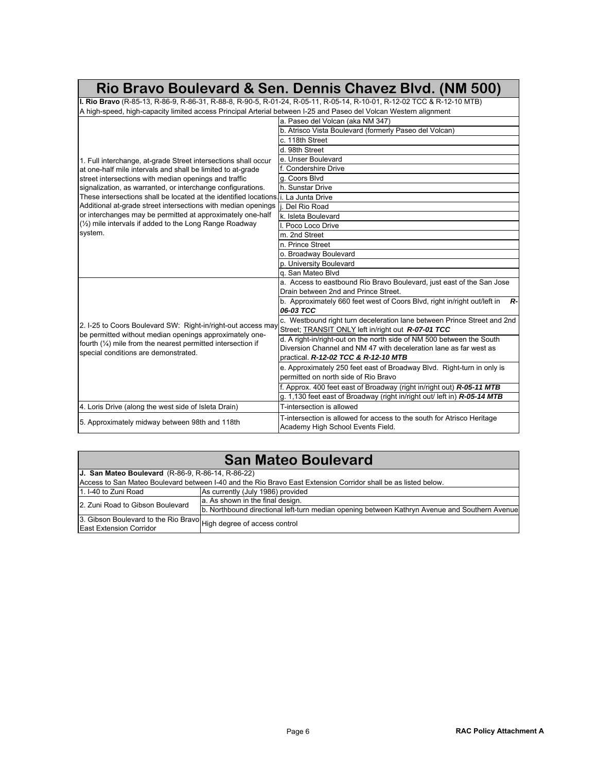|                                                                                                                        | Rio Bravo Boulevard & Sen. Dennis Chavez Blvd. (NM 500)                                                                       |  |  |
|------------------------------------------------------------------------------------------------------------------------|-------------------------------------------------------------------------------------------------------------------------------|--|--|
| I. Rio Bravo (R-85-13, R-86-9, R-86-31, R-88-8, R-90-5, R-01-24, R-05-11, R-05-14, R-10-01, R-12-02 TCC & R-12-10 MTB) |                                                                                                                               |  |  |
| A high-speed, high-capacity limited access Principal Arterial between I-25 and Paseo del Volcan Western alignment      |                                                                                                                               |  |  |
|                                                                                                                        | a. Paseo del Volcan (aka NM 347)                                                                                              |  |  |
|                                                                                                                        | b. Atrisco Vista Boulevard (formerly Paseo del Volcan)                                                                        |  |  |
|                                                                                                                        | c. 118th Street                                                                                                               |  |  |
|                                                                                                                        | d. 98th Street                                                                                                                |  |  |
| 1. Full interchange, at-grade Street intersections shall occur                                                         | e. Unser Boulevard                                                                                                            |  |  |
| at one-half mile intervals and shall be limited to at-grade                                                            | f. Condershire Drive                                                                                                          |  |  |
| street intersections with median openings and traffic                                                                  | g. Coors Blvd                                                                                                                 |  |  |
| signalization, as warranted, or interchange configurations.                                                            | h. Sunstar Drive                                                                                                              |  |  |
| These intersections shall be located at the identified locations. i. La Junta Drive                                    |                                                                                                                               |  |  |
| Additional at-grade street intersections with median openings                                                          | Del Rio Road                                                                                                                  |  |  |
| or interchanges may be permitted at approximately one-half                                                             | k. Isleta Boulevard                                                                                                           |  |  |
| (1/2) mile intervals if added to the Long Range Roadway                                                                | II. Poco Loco Drive                                                                                                           |  |  |
| system.                                                                                                                | m. 2nd Street                                                                                                                 |  |  |
|                                                                                                                        | n. Prince Street                                                                                                              |  |  |
|                                                                                                                        | o. Broadway Boulevard                                                                                                         |  |  |
|                                                                                                                        | p. University Boulevard                                                                                                       |  |  |
|                                                                                                                        | g. San Mateo Blyd                                                                                                             |  |  |
|                                                                                                                        | a. Access to eastbound Rio Bravo Boulevard, just east of the San Jose                                                         |  |  |
|                                                                                                                        | Drain between 2nd and Prince Street.                                                                                          |  |  |
|                                                                                                                        | b. Approximately 660 feet west of Coors Blvd, right in/right out/left in<br>R-                                                |  |  |
|                                                                                                                        | 06-03 TCC                                                                                                                     |  |  |
| 2. I-25 to Coors Boulevard SW: Right-in/right-out access may                                                           | c. Westbound right turn deceleration lane between Prince Street and 2nd<br>Street; TRANSIT ONLY left in/right out R-07-01 TCC |  |  |
| be permitted without median openings approximately one-                                                                | d. A right-in/right-out on the north side of NM 500 between the South                                                         |  |  |
| fourth $(\frac{1}{4})$ mile from the nearest permitted intersection if                                                 | Diversion Channel and NM 47 with deceleration lane as far west as                                                             |  |  |
| special conditions are demonstrated.                                                                                   | practical, R-12-02 TCC & R-12-10 MTB                                                                                          |  |  |
|                                                                                                                        | e. Approximately 250 feet east of Broadway Blvd. Right-turn in only is                                                        |  |  |
|                                                                                                                        | permitted on north side of Rio Bravo                                                                                          |  |  |
|                                                                                                                        | f. Approx. 400 feet east of Broadway (right in/right out) R-05-11 MTB                                                         |  |  |
|                                                                                                                        | g. 1,130 feet east of Broadway (right in/right out/ left in) R-05-14 MTB                                                      |  |  |
| 4. Loris Drive (along the west side of Isleta Drain)                                                                   | T-intersection is allowed                                                                                                     |  |  |
|                                                                                                                        |                                                                                                                               |  |  |
| 5. Approximately midway between 98th and 118th                                                                         | T-intersection is allowed for access to the south for Atrisco Heritage<br>Academy High School Events Field.                   |  |  |

| <b>San Mateo Boulevard</b>                                                                                     |                                                                                               |  |
|----------------------------------------------------------------------------------------------------------------|-----------------------------------------------------------------------------------------------|--|
| J. San Mateo Boulevard (R-86-9, R-86-14, R-86-22)                                                              |                                                                                               |  |
| Access to San Mateo Boulevard between I-40 and the Rio Bravo East Extension Corridor shall be as listed below. |                                                                                               |  |
| 1. I-40 to Zuni Road                                                                                           | As currently (July 1986) provided                                                             |  |
| 2. Zuni Road to Gibson Boulevard                                                                               | a. As shown in the final design.                                                              |  |
|                                                                                                                | b. Northbound directional left-turn median opening between Kathryn Avenue and Southern Avenue |  |
| 3. Gibson Boulevard to the Rio Bravo High degree of access control<br><b>East Extension Corridor</b>           |                                                                                               |  |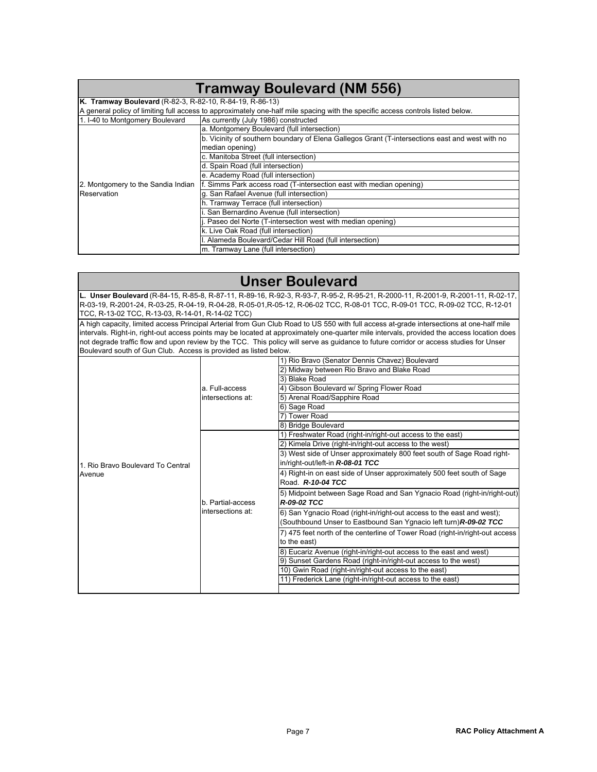| <b>Tramway Boulevard (NM 556)</b>                                                                                               |                                                                                                 |  |  |
|---------------------------------------------------------------------------------------------------------------------------------|-------------------------------------------------------------------------------------------------|--|--|
| K. Tramway Boulevard (R-82-3, R-82-10, R-84-19, R-86-13)                                                                        |                                                                                                 |  |  |
| A general policy of limiting full access to approximately one-half mile spacing with the specific access controls listed below. |                                                                                                 |  |  |
| 1. I-40 to Montgomery Boulevard                                                                                                 | As currently (July 1986) constructed                                                            |  |  |
|                                                                                                                                 | a. Montgomery Boulevard (full intersection)                                                     |  |  |
|                                                                                                                                 | b. Vicinity of southern boundary of Elena Gallegos Grant (T-intersections east and west with no |  |  |
|                                                                                                                                 | median opening)                                                                                 |  |  |
|                                                                                                                                 | c. Manitoba Street (full intersection)                                                          |  |  |
|                                                                                                                                 | d. Spain Road (full intersection)                                                               |  |  |
|                                                                                                                                 | e. Academy Road (full intersection)                                                             |  |  |
| 2. Montgomery to the Sandia Indian                                                                                              | f. Simms Park access road (T-intersection east with median opening)                             |  |  |
| Reservation                                                                                                                     | g. San Rafael Avenue (full intersection)                                                        |  |  |
|                                                                                                                                 | h. Tramway Terrace (full intersection)                                                          |  |  |
|                                                                                                                                 | San Bernardino Avenue (full intersection)                                                       |  |  |
|                                                                                                                                 | Paseo del Norte (T-intersection west with median opening)                                       |  |  |
|                                                                                                                                 | k. Live Oak Road (full intersection)                                                            |  |  |
|                                                                                                                                 | Alameda Boulevard/Cedar Hill Road (full intersection)                                           |  |  |
|                                                                                                                                 | m. Tramway Lane (full intersection)                                                             |  |  |

## **Unser Boulevard**

**L. Unser Boulevard** (R-84-15, R-85-8, R-87-11, R-89-16, R-92-3, R-93-7, R-95-2, R-95-21, R-2000-11, R-2001-9, R-2001-11, R-02-17, R-03-19, R-2001-24, R-03-25, R-04-19, R-04-28, R-05-01,R-05-12, R-06-02 TCC, R-08-01 TCC, R-09-01 TCC, R-09-02 TCC, R-12-01 TCC, R-13-02 TCC, R-13-03, R-14-01, R-14-02 TCC)

A high capacity, limited access Principal Arterial from Gun Club Road to US 550 with full access at-grade intersections at one-half mile intervals. Right-in, right-out access points may be located at approximately one-quarter mile intervals, provided the access location does not degrade traffic flow and upon review by the TCC. This policy will serve as guidance to future corridor or access studies for Unser Boulevard south of Gun Club. Access is provided as listed below.

|                                   |                                        | 1) Rio Bravo (Senator Dennis Chavez) Boulevard                               |
|-----------------------------------|----------------------------------------|------------------------------------------------------------------------------|
|                                   |                                        | 2) Midway between Rio Bravo and Blake Road                                   |
|                                   |                                        | 3) Blake Road                                                                |
|                                   | a. Full-access<br>intersections at:    | 4) Gibson Boulevard w/ Spring Flower Road                                    |
|                                   |                                        | 5) Arenal Road/Sapphire Road                                                 |
|                                   |                                        | 6) Sage Road                                                                 |
|                                   |                                        | <b>Tower Road</b>                                                            |
|                                   |                                        | 8) Bridge Boulevard                                                          |
|                                   | b. Partial-access<br>intersections at: | 1) Freshwater Road (right-in/right-out access to the east)                   |
|                                   |                                        | 2) Kimela Drive (right-in/right-out access to the west)                      |
|                                   |                                        | 3) West side of Unser approximately 800 feet south of Sage Road right-       |
| 1. Rio Bravo Boulevard To Central |                                        | in/right-out/left-in R-08-01 TCC                                             |
| Avenue                            |                                        | 4) Right-in on east side of Unser approximately 500 feet south of Sage       |
|                                   |                                        | Road. R-10-04 TCC                                                            |
|                                   |                                        | 5) Midpoint between Sage Road and San Ygnacio Road (right-in/right-out)      |
|                                   |                                        | R-09-02 TCC                                                                  |
|                                   |                                        | 6) San Ygnacio Road (right-in/right-out access to the east and west);        |
|                                   |                                        | (Southbound Unser to Eastbound San Ygnacio left turn) R-09-02 TCC            |
|                                   |                                        | 7) 475 feet north of the centerline of Tower Road (right-in/right-out access |
|                                   |                                        | to the east)                                                                 |
|                                   |                                        | 8) Eucariz Avenue (right-in/right-out access to the east and west)           |
|                                   |                                        | 9) Sunset Gardens Road (right-in/right-out access to the west)               |
|                                   |                                        | 10) Gwin Road (right-in/right-out access to the east)                        |
|                                   |                                        | 11) Frederick Lane (right-in/right-out access to the east)                   |
|                                   |                                        |                                                                              |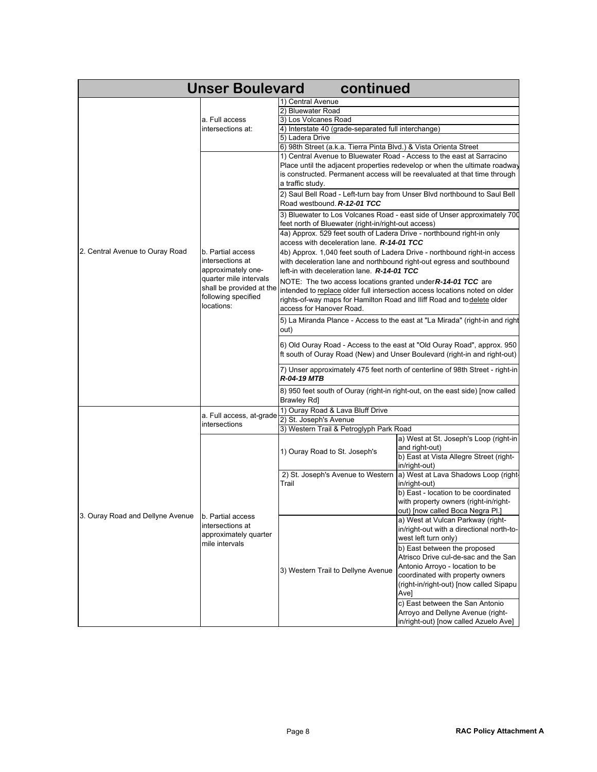| <b>Unser Boulevard</b><br>continued |                                                    |                                                                               |                                                                               |  |
|-------------------------------------|----------------------------------------------------|-------------------------------------------------------------------------------|-------------------------------------------------------------------------------|--|
|                                     |                                                    | 1) Central Avenue                                                             |                                                                               |  |
|                                     |                                                    | 2) Bluewater Road                                                             |                                                                               |  |
|                                     | a. Full access                                     | 3) Los Volcanes Road                                                          |                                                                               |  |
|                                     | intersections at:                                  | 4) Interstate 40 (grade-separated full interchange)                           |                                                                               |  |
|                                     |                                                    | 5) Ladera Drive                                                               |                                                                               |  |
|                                     |                                                    | 6) 98th Street (a.k.a. Tierra Pinta Blvd.) & Vista Orienta Street             |                                                                               |  |
|                                     |                                                    | 1) Central Avenue to Bluewater Road - Access to the east at Sarracino         |                                                                               |  |
|                                     |                                                    |                                                                               | Place until the adjacent properties redevelop or when the ultimate roadway    |  |
|                                     |                                                    |                                                                               | is constructed. Permanent access will be reevaluated at that time through     |  |
|                                     |                                                    | a traffic study.                                                              |                                                                               |  |
|                                     |                                                    |                                                                               | 2) Saul Bell Road - Left-turn bay from Unser Blvd northbound to Saul Bell     |  |
|                                     |                                                    | Road westbound. R-12-01 TCC                                                   |                                                                               |  |
|                                     |                                                    |                                                                               | 3) Bluewater to Los Volcanes Road - east side of Unser approximately 700      |  |
|                                     |                                                    | feet north of Bluewater (right-in/right-out access)                           |                                                                               |  |
|                                     |                                                    | 4a) Approx. 529 feet south of Ladera Drive - northbound right-in only         |                                                                               |  |
|                                     |                                                    | access with deceleration lane. R-14-01 TCC                                    |                                                                               |  |
| 2. Central Avenue to Ouray Road     | b. Partial access                                  | 4b) Approx. 1,040 feet south of Ladera Drive - northbound right-in access     |                                                                               |  |
|                                     | intersections at<br>approximately one-             | with deceleration lane and northbound right-out egress and southbound         |                                                                               |  |
|                                     |                                                    | left-in with deceleration lane. R-14-01 TCC                                   |                                                                               |  |
|                                     | quarter mile intervals<br>shall be provided at the | NOTE: The two access locations granted under $R-14-01$ TCC are                |                                                                               |  |
|                                     | following specified                                |                                                                               | intended to replace older full intersection access locations noted on older   |  |
|                                     | locations:                                         | rights-of-way maps for Hamilton Road and Iliff Road and to delete older       |                                                                               |  |
|                                     |                                                    | access for Hanover Road.                                                      |                                                                               |  |
|                                     |                                                    |                                                                               | 5) La Miranda Plance - Access to the east at "La Mirada" (right-in and right  |  |
|                                     |                                                    | out)                                                                          |                                                                               |  |
|                                     |                                                    |                                                                               |                                                                               |  |
|                                     |                                                    |                                                                               | 6) Old Ouray Road - Access to the east at "Old Ouray Road", approx. 950       |  |
|                                     |                                                    | ft south of Ouray Road (New) and Unser Boulevard (right-in and right-out)     |                                                                               |  |
|                                     |                                                    | 7) Unser approximately 475 feet north of centerline of 98th Street - right-in |                                                                               |  |
|                                     |                                                    | <b>R-04-19 MTB</b>                                                            |                                                                               |  |
|                                     |                                                    |                                                                               | 8) 950 feet south of Ouray (right-in right-out, on the east side) [now called |  |
|                                     |                                                    | Brawley Rd]                                                                   |                                                                               |  |
|                                     |                                                    | 1) Ouray Road & Lava Bluff Drive                                              |                                                                               |  |
|                                     | a. Full access, at-grade                           | 2) St. Joseph's Avenue                                                        |                                                                               |  |
|                                     | intersections                                      | 3) Western Trail & Petroglyph Park Road                                       |                                                                               |  |
|                                     |                                                    |                                                                               | a) West at St. Joseph's Loop (right-in                                        |  |
|                                     |                                                    | 1) Ouray Road to St. Joseph's                                                 | and right-out)                                                                |  |
|                                     | b. Partial access                                  |                                                                               | b) East at Vista Allegre Street (right-                                       |  |
|                                     |                                                    |                                                                               | in/right-out)                                                                 |  |
|                                     |                                                    | 2) St. Joseph's Avenue to Western<br>Trail                                    | a) West at Lava Shadows Loop (right-                                          |  |
|                                     |                                                    |                                                                               | in/right-out)                                                                 |  |
|                                     |                                                    |                                                                               | b) East - location to be coordinated                                          |  |
|                                     |                                                    |                                                                               | with property owners (right-in/right-                                         |  |
| 3. Ouray Road and Dellyne Avenue    |                                                    |                                                                               | out) [now called Boca Negra Pl.]                                              |  |
|                                     |                                                    |                                                                               | a) West at Vulcan Parkway (right-                                             |  |
|                                     | intersections at                                   |                                                                               | in/right-out with a directional north-to-                                     |  |
|                                     | approximately quarter<br>mile intervals            | 3) Western Trail to Dellyne Avenue                                            | west left turn only)                                                          |  |
|                                     |                                                    |                                                                               | b) East between the proposed                                                  |  |
|                                     |                                                    |                                                                               | Atrisco Drive cul-de-sac and the San                                          |  |
|                                     |                                                    |                                                                               | Antonio Arroyo - location to be                                               |  |
|                                     |                                                    |                                                                               |                                                                               |  |
|                                     |                                                    |                                                                               | coordinated with property owners<br>(right-in/right-out) [now called Sipapu   |  |
|                                     |                                                    |                                                                               |                                                                               |  |
|                                     |                                                    |                                                                               | Ave]                                                                          |  |
|                                     |                                                    |                                                                               | c) East between the San Antonio                                               |  |
|                                     |                                                    |                                                                               | Arroyo and Dellyne Avenue (right-                                             |  |
|                                     |                                                    |                                                                               | in/right-out) [now called Azuelo Ave]                                         |  |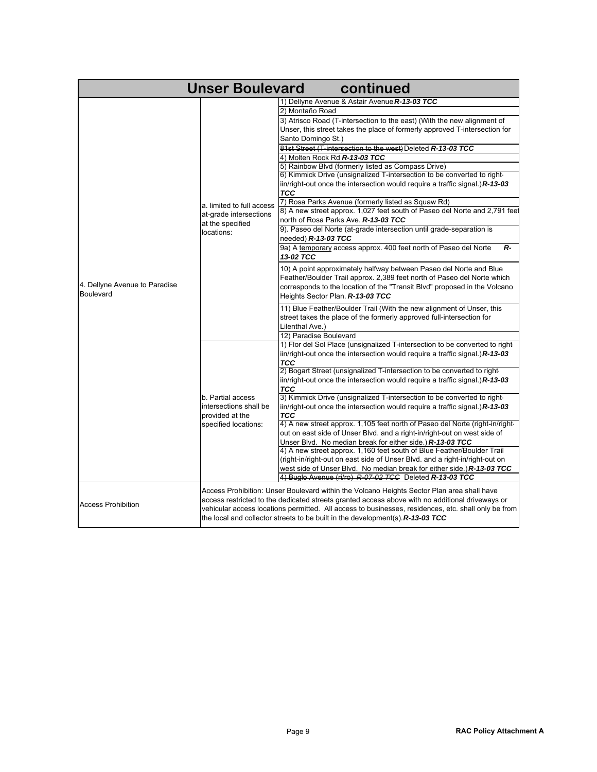| <b>Unser Boulevard</b><br>continued |                                                                                                     |                                                                                                                                                                                               |  |  |
|-------------------------------------|-----------------------------------------------------------------------------------------------------|-----------------------------------------------------------------------------------------------------------------------------------------------------------------------------------------------|--|--|
|                                     |                                                                                                     | 1) Dellyne Avenue & Astair Avenue R-13-03 TCC                                                                                                                                                 |  |  |
|                                     |                                                                                                     | 2) Montaño Road                                                                                                                                                                               |  |  |
|                                     |                                                                                                     | 3) Atrisco Road (T-intersection to the east) (With the new alignment of                                                                                                                       |  |  |
|                                     |                                                                                                     | Unser, this street takes the place of formerly approved T-intersection for                                                                                                                    |  |  |
|                                     | a. limited to full access<br>at-grade intersections<br>at the specified<br>locations:               | Santo Domingo St.)                                                                                                                                                                            |  |  |
|                                     |                                                                                                     | 81st Street (T-intersection to the west) Deleted R-13-03 TCC                                                                                                                                  |  |  |
|                                     |                                                                                                     | 4) Molten Rock Rd R-13-03 TCC                                                                                                                                                                 |  |  |
|                                     |                                                                                                     | 5) Rainbow Blvd (formerly listed as Compass Drive)                                                                                                                                            |  |  |
|                                     |                                                                                                     | 6) Kimmick Drive (unsignalized T-intersection to be converted to right-                                                                                                                       |  |  |
|                                     |                                                                                                     | iin/right-out once the intersection would require a traffic signal.) $R$ -13-03                                                                                                               |  |  |
|                                     |                                                                                                     | <b>TCC</b>                                                                                                                                                                                    |  |  |
|                                     |                                                                                                     | 7) Rosa Parks Avenue (formerly listed as Squaw Rd)                                                                                                                                            |  |  |
|                                     |                                                                                                     | 8) A new street approx. 1,027 feet south of Paseo del Norte and 2,791 feet                                                                                                                    |  |  |
|                                     |                                                                                                     | north of Rosa Parks Ave. R-13-03 TCC                                                                                                                                                          |  |  |
|                                     |                                                                                                     | 9). Paseo del Norte (at-grade intersection until grade-separation is                                                                                                                          |  |  |
|                                     |                                                                                                     | needed) <b>R-13-03 TCC</b>                                                                                                                                                                    |  |  |
|                                     |                                                                                                     | 9a) A temporary access approx. 400 feet north of Paseo del Norte<br>R-                                                                                                                        |  |  |
|                                     |                                                                                                     | 13-02 TCC                                                                                                                                                                                     |  |  |
|                                     |                                                                                                     | 10) A point approximately halfway between Paseo del Norte and Blue                                                                                                                            |  |  |
|                                     |                                                                                                     | Feather/Boulder Trail approx. 2,389 feet north of Paseo del Norte which                                                                                                                       |  |  |
| 4. Dellyne Avenue to Paradise       |                                                                                                     | corresponds to the location of the "Transit Blvd" proposed in the Volcano                                                                                                                     |  |  |
| <b>Boulevard</b>                    |                                                                                                     | Heights Sector Plan. R-13-03 TCC                                                                                                                                                              |  |  |
|                                     |                                                                                                     | 11) Blue Feather/Boulder Trail (With the new alignment of Unser, this                                                                                                                         |  |  |
|                                     |                                                                                                     | street takes the place of the formerly approved full-intersection for                                                                                                                         |  |  |
|                                     |                                                                                                     | Lilenthal Ave.)                                                                                                                                                                               |  |  |
|                                     |                                                                                                     | 12) Paradise Boulevard                                                                                                                                                                        |  |  |
|                                     |                                                                                                     | 1) Flor del Sol Place (unsignalized T-intersection to be converted to right-                                                                                                                  |  |  |
|                                     |                                                                                                     | iin/right-out once the intersection would require a traffic signal.) $R$ -13-03                                                                                                               |  |  |
|                                     | b. Partial access<br>intersections shall be<br>provided at the<br>specified locations:              | <b>TCC</b>                                                                                                                                                                                    |  |  |
|                                     |                                                                                                     | 2) Bogart Street (unsignalized T-intersection to be converted to right                                                                                                                        |  |  |
|                                     |                                                                                                     | $\frac{1}{2}$ in/right-out once the intersection would require a traffic signal.) R-13-03                                                                                                     |  |  |
|                                     |                                                                                                     | TCC                                                                                                                                                                                           |  |  |
|                                     |                                                                                                     | 3) Kimmick Drive (unsignalized T-intersection to be converted to right-                                                                                                                       |  |  |
|                                     |                                                                                                     | iin/right-out once the intersection would require a traffic signal.) $R$ -13-03                                                                                                               |  |  |
|                                     |                                                                                                     | <b>TCC</b><br>4) A new street approx. 1,105 feet north of Paseo del Norte (right-in/right                                                                                                     |  |  |
|                                     |                                                                                                     | out on east side of Unser Blvd. and a right-in/right-out on west side of                                                                                                                      |  |  |
|                                     |                                                                                                     | Unser Blvd. No median break for either side.) R-13-03 TCC                                                                                                                                     |  |  |
|                                     |                                                                                                     | 4) A new street approx. 1,160 feet south of Blue Feather/Boulder Trail                                                                                                                        |  |  |
|                                     |                                                                                                     | (right-in/right-out on east side of Unser Blvd. and a right-in/right-out on                                                                                                                   |  |  |
|                                     |                                                                                                     | west side of Unser Blvd. No median break for either side.) <b>R-13-03 TCC</b>                                                                                                                 |  |  |
|                                     |                                                                                                     | 4) Buglo Avenue (ri/ro) R-07-02 TCC Deleted R-13-03 TCC                                                                                                                                       |  |  |
|                                     |                                                                                                     |                                                                                                                                                                                               |  |  |
|                                     |                                                                                                     | Access Prohibition: Unser Boulevard within the Volcano Heights Sector Plan area shall have<br>access restricted to the dedicated streets granted access above with no additional driveways or |  |  |
| <b>Access Prohibition</b>           | vehicular access locations permitted. All access to businesses, residences, etc. shall only be from |                                                                                                                                                                                               |  |  |
|                                     | the local and collector streets to be built in the development(s). R-13-03 TCC                      |                                                                                                                                                                                               |  |  |
|                                     |                                                                                                     |                                                                                                                                                                                               |  |  |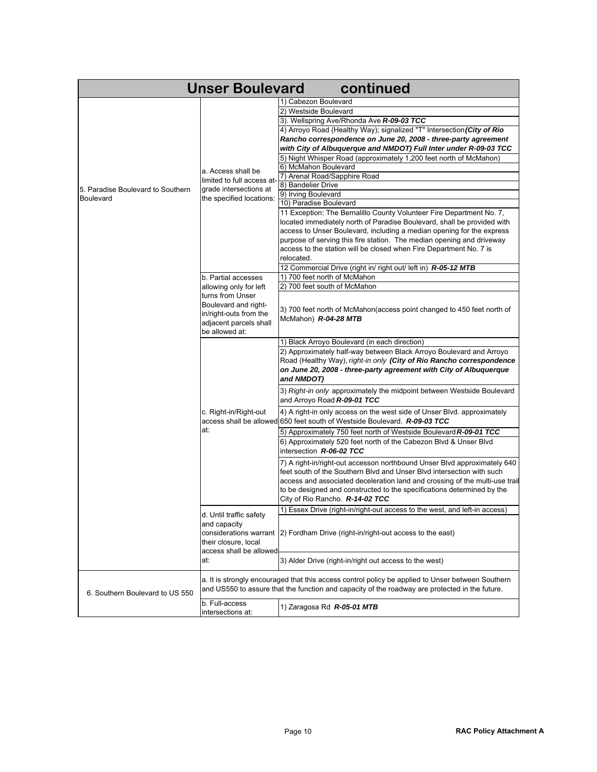| <b>Unser Boulevard</b><br>continued                                                                                                                      |                                                                                                                                                                                                                                                                                 |                                                                                                                                                                                                                                                                                                                                                                                                                                                                                                                                                                                                                                                                                                                                                                                                                                                                                           |  |  |
|----------------------------------------------------------------------------------------------------------------------------------------------------------|---------------------------------------------------------------------------------------------------------------------------------------------------------------------------------------------------------------------------------------------------------------------------------|-------------------------------------------------------------------------------------------------------------------------------------------------------------------------------------------------------------------------------------------------------------------------------------------------------------------------------------------------------------------------------------------------------------------------------------------------------------------------------------------------------------------------------------------------------------------------------------------------------------------------------------------------------------------------------------------------------------------------------------------------------------------------------------------------------------------------------------------------------------------------------------------|--|--|
| a. Access shall be<br>limited to full access at-<br>5. Paradise Boulevard to Southern<br>grade intersections at<br>the specified locations:<br>Boulevard |                                                                                                                                                                                                                                                                                 | 1) Cabezon Boulevard<br>2) Westside Boulevard<br>3). Wellspring Ave/Rhonda Ave R-09-03 TCC<br>4) Arroyo Road (Healthy Way); signalized "T" Intersection (City of Rio<br>Rancho correspondence on June 20, 2008 - three-party agreement<br>with City of Albuquerque and NMDOT) Full Inter under R-09-03 TCC<br>5) Night Whisper Road (approximately 1,200 feet north of McMahon)<br>6) McMahon Boulevard<br>7) Arenal Road/Sapphire Road<br>8) Bandelier Drive<br>9) Irving Boulevard<br>10) Paradise Boulevard<br>11 Exception: The Bernalillo County Volunteer Fire Department No. 7,<br>located immediately north of Paradise Boulevard, shall be provided with<br>access to Unser Boulevard, including a median opening for the express<br>purpose of serving this fire station. The median opening and driveway<br>access to the station will be closed when Fire Department No. 7 is |  |  |
|                                                                                                                                                          | b. Partial accesses<br>allowing only for left<br>turns from Unser<br>Boulevard and right-<br>in/right-outs from the<br>adjacent parcels shall                                                                                                                                   | relocated.<br>12 Commercial Drive (right in/ right out/ left in) R-05-12 MTB<br>1) 700 feet north of McMahon<br>2) 700 feet south of McMahon<br>3) 700 feet north of McMahon(access point changed to 450 feet north of<br>McMahon) R-04-28 MTB                                                                                                                                                                                                                                                                                                                                                                                                                                                                                                                                                                                                                                            |  |  |
| be allowed at:<br>c. Right-in/Right-out<br>at:<br>d. Until traffic safety<br>and capacity<br>their closure, local<br>at:                                 | 1) Black Arroyo Boulevard (in each direction)<br>2) Approximately half-way between Black Arroyo Boulevard and Arroyo<br>Road (Healthy Way), right-in only (City of Rio Rancho correspondence<br>on June 20, 2008 - three-party agreement with City of Albuquerque<br>and NMDOT) |                                                                                                                                                                                                                                                                                                                                                                                                                                                                                                                                                                                                                                                                                                                                                                                                                                                                                           |  |  |
|                                                                                                                                                          |                                                                                                                                                                                                                                                                                 | 3) Right-in only approximately the midpoint between Westside Boulevard<br>and Arroyo Road R-09-01 TCC<br>4) A right-in only access on the west side of Unser Blvd. approximately                                                                                                                                                                                                                                                                                                                                                                                                                                                                                                                                                                                                                                                                                                          |  |  |
|                                                                                                                                                          |                                                                                                                                                                                                                                                                                 | access shall be allowed 650 feet south of Westside Boulevard. R-09-03 TCC<br>5) Approximately 750 feet north of Westside Boulevard R-09-01 TCC<br>6) Approximately 520 feet north of the Cabezon Blvd & Unser Blvd                                                                                                                                                                                                                                                                                                                                                                                                                                                                                                                                                                                                                                                                        |  |  |
|                                                                                                                                                          |                                                                                                                                                                                                                                                                                 | intersection R-06-02 TCC<br>7) A right-in/right-out accesson northbound Unser Blvd approximately 640<br>feet south of the Southern Blvd and Unser Blvd intersection with such<br>access and associated deceleration land and crossing of the multi-use trail<br>to be designed and constructed to the specifications determined by the<br>City of Rio Rancho. <b>R-14-02 TCC</b>                                                                                                                                                                                                                                                                                                                                                                                                                                                                                                          |  |  |
|                                                                                                                                                          | access shall be allowed                                                                                                                                                                                                                                                         | 1) Essex Drive (right-in/right-out access to the west, and left-in access)<br>considerations warrant  2) Fordham Drive (right-in/right-out access to the east)                                                                                                                                                                                                                                                                                                                                                                                                                                                                                                                                                                                                                                                                                                                            |  |  |
|                                                                                                                                                          |                                                                                                                                                                                                                                                                                 | 3) Alder Drive (right-in/right out access to the west)                                                                                                                                                                                                                                                                                                                                                                                                                                                                                                                                                                                                                                                                                                                                                                                                                                    |  |  |
| 6. Southern Boulevard to US 550                                                                                                                          |                                                                                                                                                                                                                                                                                 | a. It is strongly encouraged that this access control policy be applied to Unser between Southern<br>and US550 to assure that the function and capacity of the roadway are protected in the future.                                                                                                                                                                                                                                                                                                                                                                                                                                                                                                                                                                                                                                                                                       |  |  |
|                                                                                                                                                          | b. Full-access<br>intersections at:                                                                                                                                                                                                                                             | 1) Zaragosa Rd R-05-01 MTB                                                                                                                                                                                                                                                                                                                                                                                                                                                                                                                                                                                                                                                                                                                                                                                                                                                                |  |  |